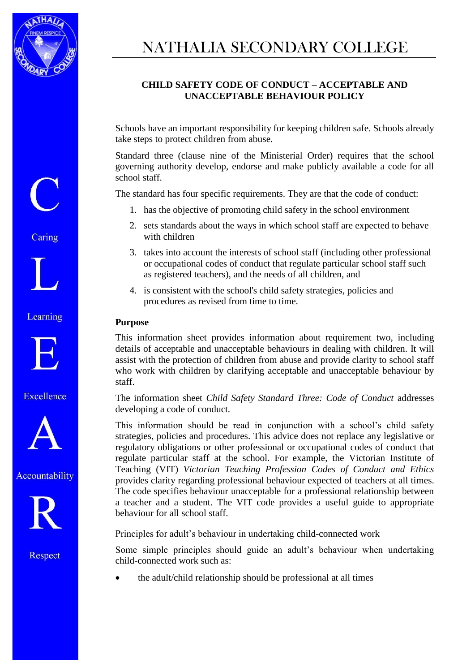

# NATHALIA SECONDARY COLLEGE

## **CHILD SAFETY CODE OF CONDUCT – ACCEPTABLE AND UNACCEPTABLE BEHAVIOUR POLICY**

Schools have an important responsibility for keeping children safe. Schools already take steps to protect children from abuse.

Standard three (clause nine of the Ministerial Order) requires that the school governing authority develop, endorse and make publicly available a code for all school staff.

The standard has four specific requirements. They are that the code of conduct:

- 1. has the objective of promoting child safety in the school environment
- 2. sets standards about the ways in which school staff are expected to behave with children
- 3. takes into account the interests of school staff (including other professional or occupational codes of conduct that regulate particular school staff such as registered teachers), and the needs of all children, and
- 4. is consistent with the school's child safety strategies, policies and procedures as revised from time to time.

#### **Purpose**

This information sheet provides information about requirement two, including details of acceptable and unacceptable behaviours in dealing with children. It will assist with the protection of children from abuse and provide clarity to school staff who work with children by clarifying acceptable and unacceptable behaviour by staff.

The information sheet *Child Safety Standard Three: Code of Conduct* addresses developing a code of conduct*.*

This information should be read in conjunction with a school's child safety strategies, policies and procedures. This advice does not replace any legislative or regulatory obligations or other professional or occupational codes of conduct that regulate particular staff at the school. For example, the Victorian Institute of Teaching (VIT) *Victorian Teaching Profession Codes of Conduct and Ethics* provides clarity regarding professional behaviour expected of teachers at all times. The code specifies behaviour unacceptable for a professional relationship between a teacher and a student. The VIT code provides a useful guide to appropriate behaviour for all school staff.

Principles for adult's behaviour in undertaking child-connected work

Some simple principles should guide an adult's behaviour when undertaking child-connected work such as:

the adult/child relationship should be professional at all times

Caring

Learning



Excellence





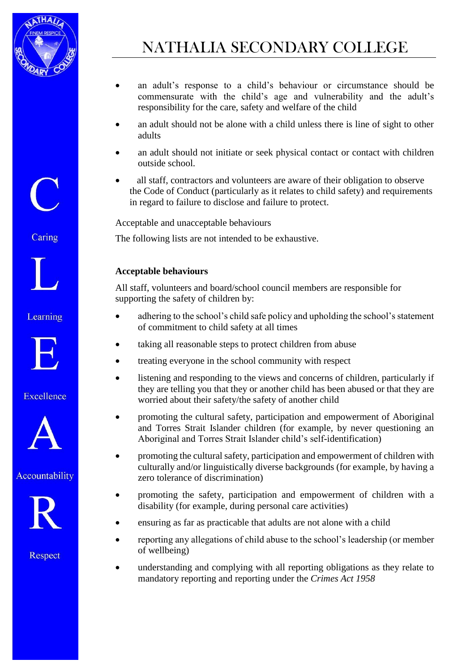

- an adult's response to a child's behaviour or circumstance should be commensurate with the child's age and vulnerability and the adult's responsibility for the care, safety and welfare of the child
- an adult should not be alone with a child unless there is line of sight to other adults
- an adult should not initiate or seek physical contact or contact with children outside school.
- all staff, contractors and volunteers are aware of their obligation to observe the Code of Conduct (particularly as it relates to child safety) and requirements in regard to failure to disclose and failure to protect.

Acceptable and unacceptable behaviours

The following lists are not intended to be exhaustive.

### **Acceptable behaviours**

All staff, volunteers and board/school council members are responsible for supporting the safety of children by:

- adhering to the school's child safe policy and upholding the school's statement of commitment to child safety at all times
- taking all reasonable steps to protect children from abuse
- treating everyone in the school community with respect
- listening and responding to the views and concerns of children, particularly if they are telling you that they or another child has been abused or that they are worried about their safety/the safety of another child
- promoting the cultural safety, participation and empowerment of Aboriginal and Torres Strait Islander children (for example, by never questioning an Aboriginal and Torres Strait Islander child's self-identification)
- promoting the cultural safety, participation and empowerment of children with culturally and/or linguistically diverse backgrounds (for example, by having a zero tolerance of discrimination)
- promoting the safety, participation and empowerment of children with a disability (for example, during personal care activities)
- ensuring as far as practicable that adults are not alone with a child
- reporting any allegations of child abuse to the school's leadership (or member of wellbeing)
- understanding and complying with all reporting obligations as they relate to mandatory reporting and reporting under the *Crimes Act 1958*

Caring

Learning



Excellence



Accountability

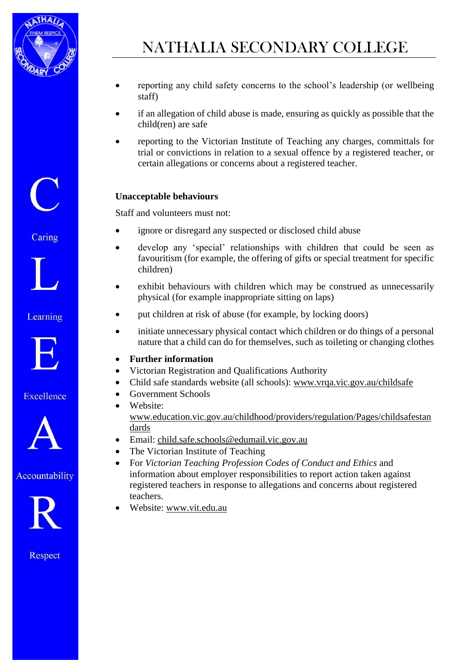

- reporting any child safety concerns to the school's leadership (or wellbeing staff)
- if an allegation of child abuse is made, ensuring as quickly as possible that the child(ren) are safe
- reporting to the Victorian Institute of Teaching any charges, committals for trial or convictions in relation to a sexual offence by a registered teacher, or certain allegations or concerns about a registered teacher.

#### **Unacceptable behaviours**

Staff and volunteers must not:

- ignore or disregard any suspected or disclosed child abuse
- develop any 'special' relationships with children that could be seen as favouritism (for example, the offering of gifts or special treatment for specific children)
- exhibit behaviours with children which may be construed as unnecessarily physical (for example inappropriate sitting on laps)
- put children at risk of abuse (for example, by locking doors)
- initiate unnecessary physical contact which children or do things of a personal nature that a child can do for themselves, such as toileting or changing clothes

#### **Further information**

- Victorian Registration and Qualifications Authority
- Child safe standards website (all schools): [www.vrqa.vic.gov.au/childsafe](http://www.vrqa.vic.gov.au/childsafe)
- Government Schools
- Website: [www.education.vic.gov.au/childhood/providers/regulation/Pages/childsafestan](http://www.education.vic.gov.au/childhood/providers/regulation/Pages/childsafestandards) [dards](http://www.education.vic.gov.au/childhood/providers/regulation/Pages/childsafestandards)
- Email: [child.safe.schools@edumail.vic.gov.au](mailto:child.safe.schools@edumail.vic.gov.au)
- The Victorian Institute of Teaching
- For *Victorian Teaching Profession Codes of Conduct and Ethics* and information about employer responsibilities to report action taken against registered teachers in response to allegations and concerns about registered teachers.
- Website: [www.vit.edu.au](http://www.vit.edu.au/)

Caring

#### Learning



#### Excellence



### Accountability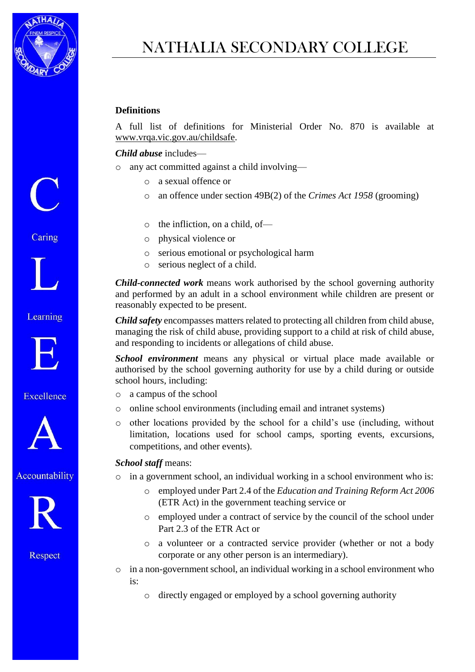

# NATHALIA SECONDARY COLLEGE

#### **Definitions**

A full list of definitions for Ministerial Order No. 870 is available at [www.vrqa.vic.gov.au/childsafe.](http://www.vrqa.vic.gov.au/childsafe)

#### *Child abuse* includes—

- o any act committed against a child involving
	- o a sexual offence or
	- o an offence under section 49B(2) of the *Crimes Act 1958* (grooming)
	- o the infliction, on a child, of—
	- o physical violence or
	- o serious emotional or psychological harm
	- o serious neglect of a child.

*Child-connected work* means work authorised by the school governing authority and performed by an adult in a school environment while children are present or reasonably expected to be present.

*Child safety* encompasses matters related to protecting all children from child abuse, managing the risk of child abuse, providing support to a child at risk of child abuse, and responding to incidents or allegations of child abuse.

*School environment* means any physical or virtual place made available or authorised by the school governing authority for use by a child during or outside school hours, including:

- o a campus of the school
- o online school environments (including email and intranet systems)
- o other locations provided by the school for a child's use (including, without limitation, locations used for school camps, sporting events, excursions, competitions, and other events).

#### *School staff* means:

o in a government school, an individual working in a school environment who is:

- o employed under Part 2.4 of the *Education and Training Reform Act 2006* (ETR Act) in the government teaching service or
- o employed under a contract of service by the council of the school under Part 2.3 of the ETR Act or
- o a volunteer or a contracted service provider (whether or not a body corporate or any other person is an intermediary).
- o in a non-government school, an individual working in a school environment who is:
	- o directly engaged or employed by a school governing authority

Caring



Learning



Excellence



Accountability